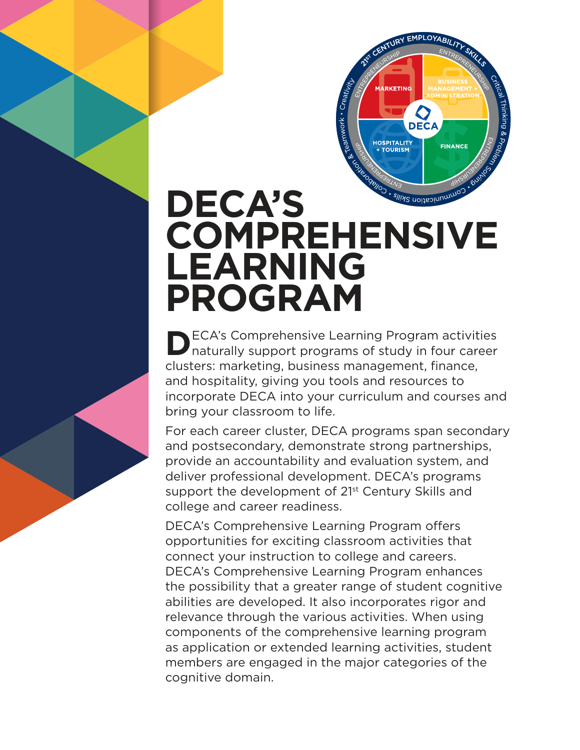

# **DECA'S COMPREHENSIVE LEARNING PROGRAM**

**D** ECA's Comprehensive Learning Program activities<br>
naturally support programs of study in four career naturally support programs of study in four career clusters: marketing, business management, finance, and hospitality, giving you tools and resources to incorporate DECA into your curriculum and courses and bring your classroom to life.

For each career cluster, DECA programs span secondary and postsecondary, demonstrate strong partnerships, provide an accountability and evaluation system, and deliver professional development. DECA's programs support the development of 21<sup>st</sup> Century Skills and college and career readiness.

DECA's Comprehensive Learning Program offers opportunities for exciting classroom activities that connect your instruction to college and careers. DECA's Comprehensive Learning Program enhances the possibility that a greater range of student cognitive abilities are developed. It also incorporates rigor and relevance through the various activities. When using components of the comprehensive learning program as application or extended learning activities, student members are engaged in the major categories of the cognitive domain.